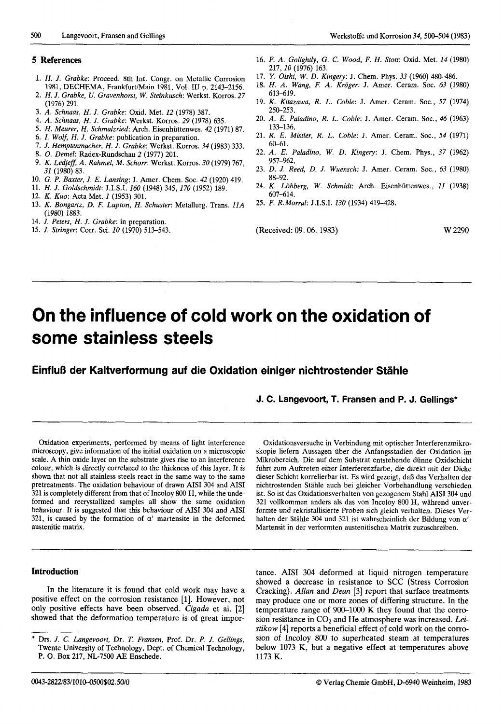## **5 References**

- **1.** *H. J. Grabke:* Proceed. 8th Int. Congr. on Metallic Corrosion 1981, DECHEMA, Frankfurt/Main 1981, Vol. **111** p. 2143-2156.
- 2. *H. J. Grabke, U. Gravenhorst, W. Steinkusch:* Werkst. Korros. 27 (1976) 291.
- 3. A. *Schnaas,* H. *J. Grabke:* Oxid. Met. 12 (1978) 387.
- 4. A. *Schnaas, H. J. Grabke:* Werkst. Korros. 29 (1978) 635.
- 5. *H. Meurer,* H. *Schmalzried:* Arch. Eisenhiittenwes. 42 (1971) 87.
- 6. I. Wolf, *H. J. Grabke:* publication in preparation.
- 7. *J. Hemptenmacher,* H. *J. Grabke:* Werkst. Korros. 34 (1983) 333.
- 8. 0. *Demel:* Radex-Rundschau 2 (1977) 201.
- 9. *K. Ledjeff,* A. *Rahmel, M. Schorr:* Werkst. Korros. 30 (1979) 767, 31 (1980) 83.
- 10. *G. P. Buxter, J. E. Lansing:* J. Amer. Chem. SOC. 42 (1920) 419.
- 11. *H. J. Goldschmidt:* J.I.S.I. 160 (1948) 345, 170 (1952) 189.
- 12. *K. Kuo:* Acta Met. 1 (1953) 301.
- 13. *K. Bongartz, D. F. Lupton, H. Schuster:* Metallurg. Trans. 11A (1980) 1883.
- 14. *J. Peters, H. J. Grabke:* in preparation.
- 15. *J. Stringer:* Corr. Sci. 10 (1970) 513-543.
- 16. F. A. *Golightly, G. C. Wood, F. H. Stott:* Oxid. Met. 14 (1980) 217,lO (1976) 163.
- 17. *Y. Oishi,* W. *D. Kingery:* J. Chem. Phys. 33 (1960) 480-486.
- 18. H. A. *Wang, F.* A. *Kroger:* **J.** Amer. Ceram. SOC. 63 (1980) 613-619.
- 19. *K. Kitarawa, R. L. Coble:* J. Amer. Ceram. SOC., 57 (1974) 250-253.
- 20. A. E. *Paladino, R. L. Coble:* J. Amer. Ceram. SOC., 46 (1963) 133-136.
- 21. *R.* E. *Mistler, R. L. Coble:* J. Amer. Ceram. SOC., 54 (1971) 60-61.
- 22. A. E. *Paladino,* W. *D. Kingery:* J. Chem. Phys., 37 (1962) 957-962.
- 23. *D. J. Reed, D. J. Wuensch:* J. Amer. Ceram. **SOC.,** 63 (1980) 88-92.
- 24. *K. Lohberg,* W. *Schmidt:* Arch. Eisenhiittenwes., 11 (1938) 607-614.
- 25. *F. R.Morra1:* J.I.S.I. 130 (1934) 419-428.

(Received: 09.06. 1983) W 2290

# **On the influence of cold work on the oxidation of some stainless steels**

**EinfluB der Kaltverformung auf die Oxidation einiger nichtrostender Stahle** 

**J. C. Langevoort, T. Fransen and P. J. Gellings\*** 

Oxidation experiments, performed by means of light interference microscopy, give information of the initial oxidation on a microscopic scale. A thin oxide layer on the substrate gives rise to an interference colour, which is directly correlated to the thickness of this layer. It is shown that not all stainless steels react in the same way to the same pretreatments. The oxidation behaviour of drawn AISI 304 and AISI 321 is completely different from that of Incoloy 800 H, while the undeformed and recrystallized samples all show the same oxidation behaviour. It is suggested that this behaviour of AISI 304 and AISI 321, is caused by the formation of  $\alpha'$  martensite in the deformed austenitic matrix.

## **Introduction**

In the literature it is found that cold work may have a positive effect on the corrosion resistance [l]. However, not only positive effects have been observed. *Cigada* et al. *[2]*  showed that the deformation temperature is of great impor-

Oxidationsversuche in Verbindung mit optischer Interferenzmikroskopie liefern Aussagen iiber die Anfangsstadien der Oxidation im Mikrobereich. Die auf dem Substrat entstehende diinne Oxidschicht fiihrt zum Auftreten einer Interferenzfarbe, die direkt mit der Dicke dieser Schicht korrelierbar ist. Es wird gezeigt, dal3 das Verhalten der nichtrostenden Stahle auch bei gleicher Vorbehandlung verschieden ist. *So* ist das Oxidationsverhalten von gezogenem Stahl AISI 304 und 321 vollkommen anders als das von Incoloy 800 H, wahrend unverformte und rekristallisierte Proben sich gleich verhalten. Dieses Verhalten der Stahle 304 und 321 ist wahrscheinlich der Bildung von *a'-*  Martensit in der verformten austenitischen Matrix zuzuschreiben.

tance. AISI 304 deformed at liquid nitrogen temperature showed a decrease in resistance to SCC (Stress Corrosion Cracking). *Allan* and *Dean* [3] report that surface treatments may produce one or more zones of differing structure. In the temperature range of 900-1000 K they found that the corrosion resistance in *C02* and He atmosphere was increased. *Leistikow* [4] reports a beneficial effect of cold work on the corrosion of Incoloy 800 to superheated steam at temperatures below 1073 K, but a negative effect at temperatures above 1173 K.

<sup>\*</sup> Drs. *J. C. Langevoorf,* Dr. *T. Fransen,* Prof. Dr. *P. J. Gellings,*  Twente University of Technology, Dept. of Chemical Technology, **P.** 0. Box 217, NL-7500 AE Enschede.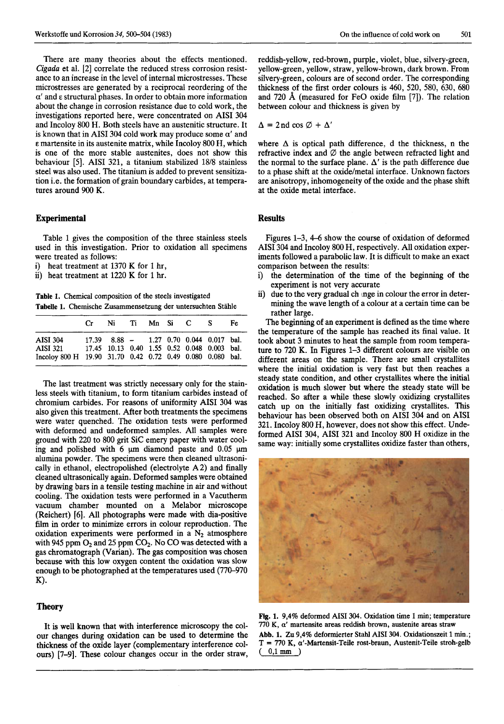There are many theories about the effects mentioned. *Cigada* et al. [2] correlate the reduced stress corrosion resistance to an increase in the level of internal microstresses. These microstresses are generated by a reciprocal reordering of the *a'* and **E** structural phases. In order to obtain more information about the change in corrosion resistance due to cold work, the investigations reported here, were concentrated on AISI 304 and Incoloy 800 H. Both steels have an austenitic structure. It is known that in AISI 304 cold work may produce some *a'* and **<sup>E</sup>**martensite in its austenite matrix, while Incoloy 800 **H,** which is one of the more stable austenites, does not show this behaviour *[5].* AISI 321, a titanium stabilized 1818 stainless steel was also used. The titanium is added to prevent sensitization i.e. the formation of grain boundary carbides, at temperatures around 900 K.

## **Experimental**

Table 1 gives the composition of the three stainless steels used in this investigation. Prior to oxidation all specimens were treated as follows:

i) heat treatment at 1370 K for 1 hr,<br>ii) heat treatment at 1220 K for 1 hr.

heat treatment at 1220 K for 1 hr.

**Table 1. Chemical composition of the steels investigated Tabelle 1. Chemische Zusammensetzung der untersuchten Stahle** 

|                                                                                                                                      | Cr. | Ni                                            |  | Ti Mn Si C S | Fe. |
|--------------------------------------------------------------------------------------------------------------------------------------|-----|-----------------------------------------------|--|--------------|-----|
| <b>AISI 304</b><br>AISI 321 17.45 10.13 0.40 1.55 0.52 0.048 0.003 bal.<br>Incoloy 800 H 19.90 31.70 0.42 0.72 0.49 0.080 0.080 bal. |     | $17.39$ $8.88$ - $1.27$ 0.70 0.044 0.017 bal. |  |              |     |

The last treatment was strictly necessary only for the stainless steels with titanium, to form titanium carbides instead of chromium carbides. For reasons of uniformity AISI 304 was also given this treatment. After both treatments the specimens were water quenched. The oxidation tests were performed with deformed and undeformed samples. All samples were ground with 220 to 800 grit Sic emery paper with water cooling and polished with 6  $\mu$ m diamond paste and 0.05  $\mu$ m alumina powder. The specimens were then cleaned ultrasonically in ethanol, electropolished (electrolyte A 2) and finally cleaned ultrasonically again. Deformed samples were obtained by drawing bars in a tensile testing machine in air and without cooling. The oxidation tests were performed in a Vacutherm vacuum chamber mounted on a Melabor microscope (Reichert) [6]. Ail photographs were made with dia-positive film in order to minimize errors in colour reproduction. The oxidation experiments were performed in a  $N_2$  atmosphere with 945 ppm O<sub>2</sub> and 25 ppm CO<sub>2</sub>. No CO was detected with a gas chromatograph **(Varian).** The gas composition was chosen because with this low oxygen content the oxidation was slow enough to be photographed at the temperatures used (770-970 **K)** -

#### **Theory**

It **is** well known that with interference microscopy the colour changes during oxidation can be used to determine the thickness of the oxide layer (complementary interference coiours) [7-91. These colour changes occur in the order straw,

reddish-yellow, red-brown, purple, violet, blue, silvery-green, yellow-green, yellow, straw, yellow-brown, dark brown. From silvery-green, colours are of second order. The corresponding thickness of the first order colours is 460, 520, 580, 630, 680 and 720 **A** (measured for FeO oxide film [7]). The relation between colour and thickness is given by

$$
\Delta = 2 \,\text{nd}\,\cos\varnothing + \Delta'
$$

where  $\Delta$  is optical path difference, d the thickness, n the refractive index and *0* the angle between refracted light and the normal to the surface plane.  $\Delta'$  is the path difference due to a phase shift at the oxide/metal interface. Unknown factors are anisotropy, inhomogeneity of the oxide and the phase shift at the oxide metal interface.

# **Results**

Figures 1-3, *4-6* show the course of oxidation of deformed AISI 304 and Incoloy 800 H, respectively. All oxidation experiments followed a parabolic law. It is difficult to make an exact comparison between the results:

- i) the determination of the time of the beginning of the experiment is not very accurate
- ii) due to the very gradual ch lnge in colour the error **in** determining the wave length of a colour at a certain time can be rather large.

The beginning of an experiment is defined as the time where the temperature of the sample has reached its final value. It took about 3 minutes to heat the sample from room temperature to 720 K. In Figures 1-3 different colours are visible on different areas on the sample. There are small crystallites where the initial oxidation is very fast but then reaches a steady state condition, and other crystallites where the initial oxidation is much slower but where the steady state will be reached. *So* after a while these slowly oxidizing crystallites catch up **on** the initially fast oxidizing crystallites. **This**  behaviour has been observed both on AISI 304 and on AISI 321. Incoloy 800 H, however, does not show this effect. Undeformed AISI 304, AISI 321 and Incoloy 800 **H** oxidize in the same way: initially some crystallites oxidize faster than others,



**Ng. 1. 9,4% deformed AISI 304. Oxidation time 1 min; temperature 770 K, a' martensite areas reddish brown, austenite areas straw Abb. 1. Zu 9,4% deformierter Stahl AISI 304. Oxidationszeit 1 mh.; T** = **770 K, a'-Martensit-Teile rost-braun, Austenit-Teile stroh-gelb**  ( **0,1 mm** )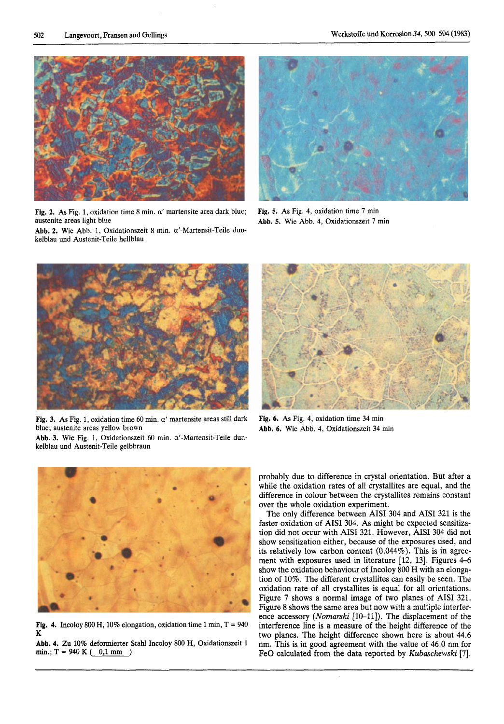

Fig. 2. As Fig. 1, oxidation time  $8$  min.  $\alpha'$  martensite area dark blue; austenite areas light blue

**Abb. 2.** Wie Abb. 1, Oxidationszeit 8 min. a'-Martensit-Teile dunkelblau und Austenit-Teile hellblau



**Fig.** *5.* **As** Fig. 4, oxidation time **7** min **Abb. 5.** Wie Abb. **4,** Oxidationszeit **7** min



Fig. 3. As Fig. 1, oxidation time 60 min.  $\alpha'$  martensite areas still dark blue; austenite areas yellow brown

**Abb. 3.** Wie Fig. 1, Oxidationszeit 60 min. a'-Martensit-Teile dunkelblau und Austenit-Teile gelbbraun



**Fig.** *6.* As Fig. **4,** oxidation time 34 min **Abb. 6.** Wie Abb. **4,** Oxidationszeit 34 min



**Fig. 4.** Incoloy 800 H, 10% elongation, oxidation time 1 min,  $T = 940$ K

**Abb. 4. Zu 10%** deformierter Stahl Incoloy 800 H, Oxidationszeit 1  $min: T = 940 K (0,1 mm)$ 

probably due to difference in crystal orientation. But after a while the oxidation rates of all crystallites are equal, and the difference in colour between the crystallites remains constant over the whole oxidation experiment.

The only difference between AISI 304 and AISI 321 is the faster oxidation of AISI 304. As might be expected sensitization did not occur with **AISI** 321. However, **AISI** 304 did not show sensitization either, because of the exposures used, and its relatively low carbon content (0.044%). This is in agreement with exposures used in literature [12, 13]. Figures 4-6 show the oxidation behaviour of Incoloy 800 H with an elongation of 10%. The different crystallites can easily be seen. The oxidation rate of all crystallites is equal for all orientations. Figure **7** shows a normal image of two planes of AISI 321. Figure 8 shows the same area but now with a multiple interference accessory (Nomarski [10-11]). The displacement of the interference line is a measure of the height difference of the two planes. The height difference shown here is about 44.6 nm. This is in good agreement with the value of 46.0 nm for FeO calculated from the data reported by *Kubaschewski* [7].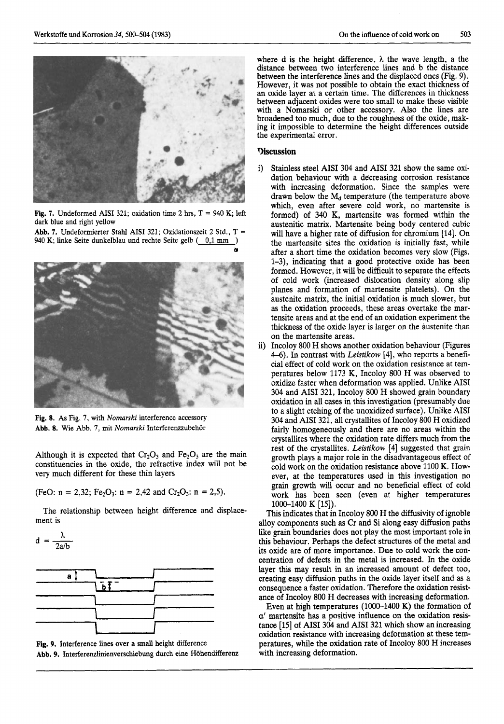

**Fig. 7.** Undeformed AISI 321; oxidation time 2 hrs,  $T = 940$  K; left dark blue and right yellow

**Abb. 7.** Undeformierter Stahl AISI 321; Oxidationszeit 2 Std., T = 940 K; linke Seite dunkelblau und rechte Seite gelb (0,1 mm)



**Fig. 8. As** Fig. *I,* with *Nomarski* interference accessory **Abb. 8.** Wie Abb. *I,* mit *Nomarski* Interferenzzubehor

Although it is expected that  $Cr_2O_3$  and  $Fe_2O_3$  are the main constituencies in the oxide, the refractive index will not be very much different for these thin layers

(FeO:  $n = 2,32$ ; Fe<sub>2</sub>O<sub>3</sub>:  $n = 2,42$  and Cr<sub>2</sub>O<sub>3</sub>:  $n = 2,5$ ).

The relationship between height difference and displacement is

$$
d = \frac{\lambda}{2a/b}
$$



**Fig. 9.** Interference lines over a small height difference Abb. 9. Interferenzlinienverschiebung durch eine Höhendifferenz

where d is the height difference, *h* the wave length, a the distance between two interference lines and b the distance between the interference lines and the displaced ones (Fig. **9).**  However, it was not possible to obtain the exact thickness of **an** oxide layer at a certain time. The differences in thickness between adjacent oxides were too small to make these visible with a Nomarski or other accessory. Also the lines are broadened too much, due to the roughness of the oxide, making it impossible to determine the height differences outside the experimental error.

## **9iscussion**

- i) Stainless steel AISI 304 and AISI 321 show the same oxidation behaviour with a decreasing corrosion resistance with increasing deformation. Since the samples were drawn below the  $M_d$  temperature (the temperature above which, even after severe cold work, no martensite is formed) of 340 K, martensite was formed within the austenitic matrix. Martensite being body centered cubic will have a higher rate of diffusion for chromium [14]. On the martensite sites the oxidation is initially fast, while after a short time the oxidation becomes very slow (Figs. 1-3), indicating that a good protective oxide has been formed. However, it will be difficult to separate the effects of cold work (increased dislocation density along slip planes and formation of martensite platelets). On the austenite matrix, the initial oxidation is much slower, but as the oxidation proceeds, these areas overtake the martensite areas and at the end of an oxidation experiment the thickness of the oxide layer is larger on the austenite than on the martensite areas.
- plus and formulate platear distance platear in the control materials in the control materials of the control material of the control material of the control of the state of the control of the state of the control of the s i) Incoloy 800 H shows another oxidation behaviour (Figures *4-6).* In contrast with *Leistikow* **[4],** who reports a beneficial effect of cold work on the oxidation resistance at temperatures below 1173 K, Incoloy 800 H was observed to oxidize faster when deformation was applied. Unlike AISI 304 and AISI 321, Incoloy 800 H showed grain boundary oxidation in all cases in this investigation (presumably due to a slight etching of the unoxidized surface). Unlike AISI 304 and AISI 321, all crystallites of Incoloy 800 H oxidized fairly homogeneously and there are no areas within the crystallites where the oxidation rate differs much from the rest of the crystallites. Leistikow [4] suggested that grain growth plays a major role in the disadvantageous effect of cold work on the oxidation resistance above 1100 K. However, at the temperatures used in this investigation no grain growth will occur and no beneficial effect of cold work has been seen (even at higher temperatures 1000-1400 K [15]).

This indicates that in Incoloy 800 H the diffusivity of ignoble alloy components such as Cr and Si along easy diffusion paths like grain boundaries does not play the most important role in this behaviour. Perhaps the defect structures of the metal and its oxide are of more importance. Due to cold work the concentration of defects in the metal is increased. In the oxide layer this may result in an increased amount of defect too, creating easy diffusion paths in the oxide layer itself and as a consequence a faster oxidation. Therefore the oxidation resistance of Incoloy 800 H decreases with increasing deformation.

Even at high temperatures (1000-1400 K) the formation of *a'* martensite has a positive influence on the oxidation resistance [15] of AISI 304 and AISI 321 which show an increasing oxidation resistance with increasing deformation at these temperatures, while the oxidation rate of Incoloy 800 H increases with increasing deformation.